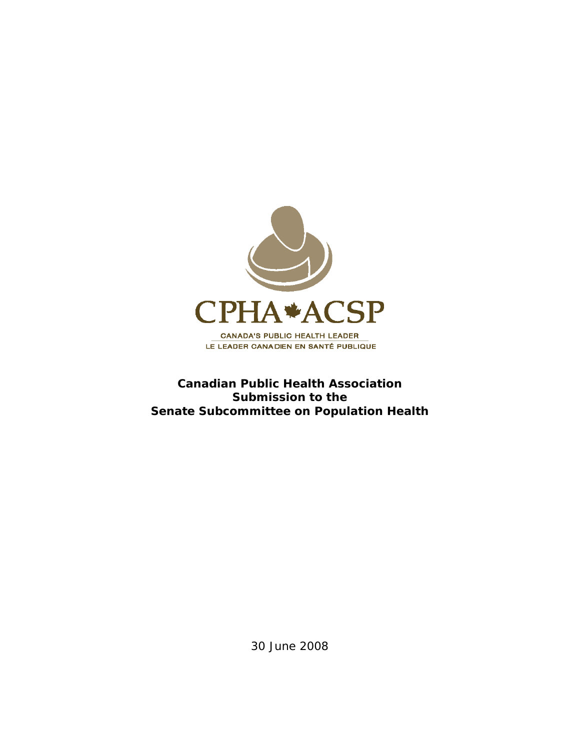

# **Canadian Public Health Association Submission to the Senate Subcommittee on Population Health**

30 June 2008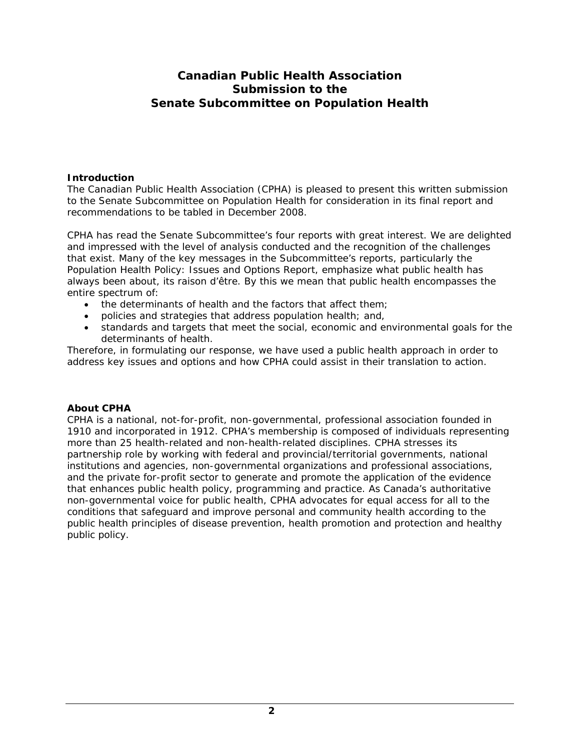# **Canadian Public Health Association Submission to the Senate Subcommittee on Population Health**

# **Introduction**

The Canadian Public Health Association (CPHA) is pleased to present this written submission to the Senate Subcommittee on Population Health for consideration in its final report and recommendations to be tabled in December 2008.

CPHA has read the Senate Subcommittee's four reports with great interest. We are delighted and impressed with the level of analysis conducted and the recognition of the challenges that exist. Many of the key messages in the Subcommittee's reports, particularly the *Population Health Policy: Issues and Options Report,* emphasize what public health has always been about, its *raison d'être*. By this we mean that public health encompasses the entire spectrum of:

- the determinants of health and the factors that affect them;
- policies and strategies that address population health; and,
- standards and targets that meet the social, economic and environmental goals for the determinants of health.

Therefore, in formulating our response, we have used a public health approach in order to address key issues and options and how CPHA could assist in their translation to action.

# **About CPHA**

CPHA is a national, not-for-profit, non-governmental, professional association founded in 1910 and incorporated in 1912. CPHA's membership is composed of individuals representing more than 25 health-related and non-health-related disciplines. CPHA stresses its partnership role by working with federal and provincial/territorial governments, national institutions and agencies, non-governmental organizations and professional associations, and the private for-profit sector to generate and promote the application of the evidence that enhances public health policy, programming and practice. As Canada's authoritative non-governmental voice for public health, CPHA advocates for equal access for all to the conditions that safeguard and improve personal and community health according to the public health principles of disease prevention, health promotion and protection and healthy public policy.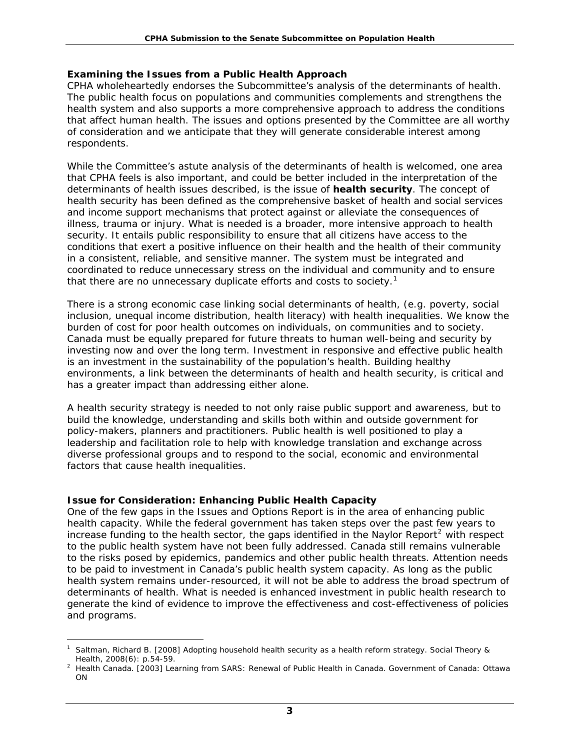#### **Examining the Issues from a Public Health Approach**

CPHA wholeheartedly endorses the Subcommittee's analysis of the determinants of health. The public health focus on populations and communities complements and strengthens the health system and also supports a more comprehensive approach to address the conditions that affect human health. The issues and options presented by the Committee are all worthy of consideration and we anticipate that they will generate considerable interest among respondents.

While the Committee's astute analysis of the determinants of health is welcomed, one area that CPHA feels is also important, and could be better included in the interpretation of the determinants of health issues described, is the issue of *health security*. The concept of health security has been defined as the comprehensive basket of health and social services and income support mechanisms that protect against or alleviate the consequences of illness, trauma or injury. What is needed is a broader, more intensive approach to health security. It entails public responsibility to ensure that all citizens have access to the conditions that exert a positive influence on their health and the health of their community in a consistent, reliable, and sensitive manner. The system must be integrated and coordinated to reduce unnecessary stress on the individual and community and to ensure that there are no unnecessary duplicate efforts and costs to society.<sup>[1](#page-2-0)</sup>

There is a strong economic case linking social determinants of health, (e.g. poverty, social inclusion, unequal income distribution, health literacy) with health inequalities. We know the burden of cost for poor health outcomes on individuals, on communities and to society. Canada must be equally prepared for future threats to human well-being and security by investing now and over the long term. Investment in responsive and effective public health is an investment in the sustainability of the population's health. Building healthy environments, a link between the determinants of health and health security, is critical and has a greater impact than addressing either alone.

A health security strategy is needed to not only raise public support and awareness, but to build the knowledge, understanding and skills both within and outside government for policy-makers, planners and practitioners. Public health is well positioned to play a leadership and facilitation role to help with knowledge translation and exchange across diverse professional groups and to respond to the social, economic and environmental factors that cause health inequalities.

# **Issue for Consideration: Enhancing Public Health Capacity**

One of the few gaps in the *Issues and Options Report* is in the area of enhancing public health capacity. While the federal government has taken steps over the past few years to increase funding to the health sector, the gaps identified in the Naylor Report<sup>[2](#page-2-1)</sup> with respect to the public health system have not been fully addressed. Canada still remains vulnerable to the risks posed by epidemics, pandemics and other public health threats. Attention needs to be paid to investment in Canada's public health system capacity. As long as the public health system remains under-resourced, it will not be able to address the broad spectrum of determinants of health. What is needed is enhanced investment in public health research to generate the kind of evidence to improve the effectiveness and cost-effectiveness of policies and programs.

<span id="page-2-0"></span> $\overline{a}$ 1 Saltman, Richard B. [2008] *Adopting household health security as a health reform strategy.* Social Theory & Health, 2008(6): p.54-59. 2 Health Canada. [2003] *Learning from SARS: Renewal of Public Health in Canada*. Government of Canada: Ottawa

<span id="page-2-1"></span>ON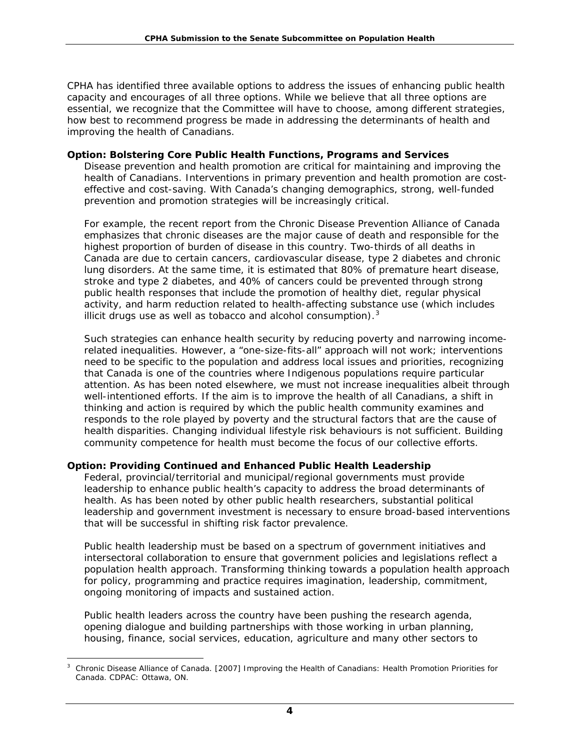CPHA has identified three available options to address the issues of enhancing public health capacity and encourages of all three options. While we believe that all three options are essential, we recognize that the Committee will have to choose, among different strategies, how best to recommend progress be made in addressing the determinants of health and improving the health of Canadians.

#### *Option: Bolstering Core Public Health Functions, Programs and Services*

Disease prevention and health promotion are critical for maintaining and improving the health of Canadians. Interventions in primary prevention and health promotion are costeffective and cost-saving. With Canada's changing demographics, strong, well-funded prevention and promotion strategies will be increasingly critical.

For example, the recent report from the Chronic Disease Prevention Alliance of Canada emphasizes that chronic diseases are the major cause of death and responsible for the highest proportion of burden of disease in this country. Two-thirds of all deaths in Canada are due to certain cancers, cardiovascular disease, type 2 diabetes and chronic lung disorders. At the same time, it is estimated that 80% of premature heart disease, stroke and type 2 diabetes, and 40% of cancers could be prevented through strong public health responses that include the promotion of healthy diet, regular physical activity, and harm reduction related to health-affecting substance use (which includes illicit drugs use as well as tobacco and alcohol consumption). $3$ 

Such strategies can enhance health security by reducing poverty and narrowing incomerelated inequalities. However, a "one-size-fits-all" approach will not work; interventions need to be specific to the population and address local issues and priorities, recognizing that Canada is one of the countries where Indigenous populations require particular attention. As has been noted elsewhere, we must not increase inequalities albeit through well-intentioned efforts. If the aim is to improve the health of all Canadians, a shift in thinking and action is required by which the public health community examines and responds to the role played by poverty and the structural factors that are the cause of health disparities. Changing individual lifestyle risk behaviours is not sufficient. Building community competence for health must become the focus of our collective efforts.

# *Option: Providing Continued and Enhanced Public Health Leadership*

Federal, provincial/territorial and municipal/regional governments must provide leadership to enhance public health's capacity to address the broad determinants of health. As has been noted by other public health researchers, substantial political leadership and government investment is necessary to ensure broad-based interventions that will be successful in shifting risk factor prevalence.

Public health leadership must be based on a spectrum of government initiatives and intersectoral collaboration to ensure that government policies and legislations reflect a population health approach. Transforming thinking towards a population health approach for policy, programming and practice requires imagination, leadership, commitment, ongoing monitoring of impacts and sustained action.

Public health leaders across the country have been pushing the research agenda, opening dialogue and building partnerships with those working in urban planning, housing, finance, social services, education, agriculture and many other sectors to

<span id="page-3-0"></span> $\overline{a}$ 3 Chronic Disease Alliance of Canada. [2007] *Improving the Health of Canadians: Health Promotion Priorities for Canada*. CDPAC: Ottawa, ON.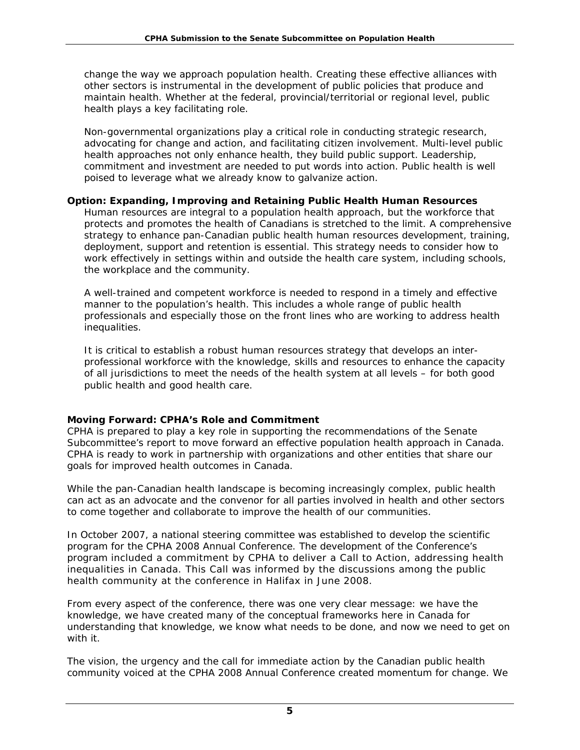change the way we approach population health. Creating these effective alliances with other sectors is instrumental in the development of public policies that produce and maintain health. Whether at the federal, provincial/territorial or regional level, public health plays a key facilitating role.

Non-governmental organizations play a critical role in conducting strategic research, advocating for change and action, and facilitating citizen involvement. Multi-level public health approaches not only enhance health, they build public support. Leadership, commitment and investment are needed to put words into action. Public health is well poised to leverage what we already know to galvanize action.

# *Option: Expanding, Improving and Retaining Public Health Human Resources*

Human resources are integral to a population health approach, but the workforce that protects and promotes the health of Canadians is stretched to the limit. A comprehensive strategy to enhance pan-Canadian public health human resources development, training, deployment, support and retention is essential. This strategy needs to consider how to work effectively in settings within and outside the health care system, including schools, the workplace and the community.

A well-trained and competent workforce is needed to respond in a timely and effective manner to the population's health. This includes a whole range of public health professionals and especially those on the front lines who are working to address health inequalities.

It is critical to establish a robust human resources strategy that develops an interprofessional workforce with the knowledge, skills and resources to enhance the capacity of all jurisdictions to meet the needs of the health system at all levels – for both good public health and good health care.

# **Moving Forward: CPHA's Role and Commitment**

CPHA is prepared to play a key role in supporting the recommendations of the Senate Subcommittee's report to move forward an effective population health approach in Canada. CPHA is ready to work in partnership with organizations and other entities that share our goals for improved health outcomes in Canada.

While the pan-Canadian health landscape is becoming increasingly complex, public health can act as an advocate and the convenor for all parties involved in health and other sectors to come together and collaborate to improve the health of our communities.

In October 2007, a national steering committee was established to develop the scientific program for the CPHA 2008 Annual Conference. The development of the Conference's program included a commitment by CPHA to deliver a Call to Action, addressing health inequalities in Canada. This Call was informed by the discussions among the public health community at the conference in Halifax in June 2008.

From every aspect of the conference, there was one very clear message: we have the knowledge, we have created many of the conceptual frameworks here in Canada for understanding that knowledge, we know what needs to be done, and now we need to get on with it.

The vision, the urgency and the call for immediate action by the Canadian public health community voiced at the CPHA 2008 Annual Conference created momentum for change. We